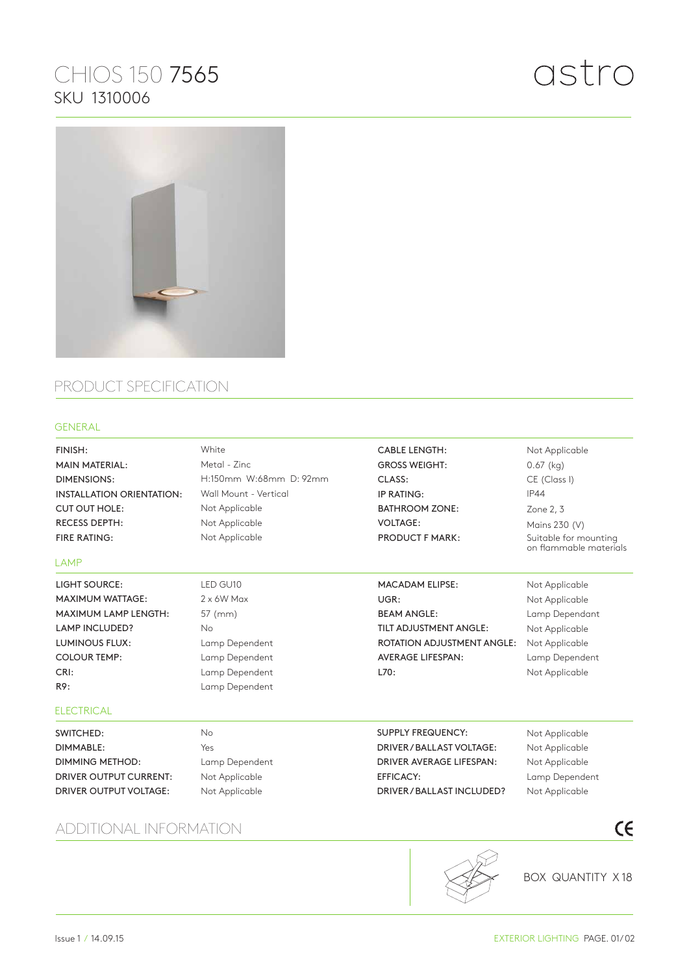## CHIOS 150 7565 SKU 1310006



## PRODUCT SPECIFICATION

## GENERAL

| FINISH:<br><b>MAIN MATERIAL:</b><br><b>DIMENSIONS:</b><br><b>INSTALLATION ORIENTATION:</b><br><b>CUT OUT HOLE:</b><br><b>RECESS DEPTH:</b> | White<br>Metal - Zinc<br>H:150mm W:68mm D: 92mm<br>Wall Mount - Vertical<br>Not Applicable<br>Not Applicable | <b>CABLE LENGTH:</b><br><b>GROSS WEIGHT:</b><br>CLASS:<br>IP RATING:<br><b>BATHROOM ZONE:</b><br><b>VOLTAGE:</b> | Not Applicable<br>$0.67$ (kg)<br>CE (Class I)<br><b>IP44</b><br>Zone 2, 3<br>Mains 230 (V) |
|--------------------------------------------------------------------------------------------------------------------------------------------|--------------------------------------------------------------------------------------------------------------|------------------------------------------------------------------------------------------------------------------|--------------------------------------------------------------------------------------------|
| <b>FIRE RATING:</b>                                                                                                                        | Not Applicable                                                                                               | <b>PRODUCT F MARK:</b>                                                                                           | Suitable for mounting<br>on flammable materials                                            |
| <b>LAMP</b>                                                                                                                                |                                                                                                              |                                                                                                                  |                                                                                            |
| <b>LIGHT SOURCE:</b>                                                                                                                       | LED GU10                                                                                                     | <b>MACADAM ELIPSE:</b>                                                                                           | Not Applicable                                                                             |
| <b>MAXIMUM WATTAGE:</b>                                                                                                                    | $2 \times 6W$ Max                                                                                            | UGR:                                                                                                             | Not Applicable                                                                             |
| MAXIMUM LAMP LENGTH:                                                                                                                       | 57 (mm)                                                                                                      | <b>BEAM ANGLE:</b>                                                                                               | Lamp Dependant                                                                             |
| <b>LAMP INCLUDED?</b>                                                                                                                      | <b>No</b>                                                                                                    | TILT ADJUSTMENT ANGLE:                                                                                           | Not Applicable                                                                             |
| <b>LUMINOUS FLUX:</b>                                                                                                                      | Lamp Dependent                                                                                               | <b>ROTATION ADJUSTMENT ANGLE:</b>                                                                                | Not Applicable                                                                             |
| <b>COLOUR TEMP:</b>                                                                                                                        | Lamp Dependent                                                                                               | <b>AVERAGE LIFESPAN:</b>                                                                                         | Lamp Dependent                                                                             |
| CRI:                                                                                                                                       | Lamp Dependent                                                                                               | L70:                                                                                                             | Not Applicable                                                                             |
| R9:                                                                                                                                        | Lamp Dependent                                                                                               |                                                                                                                  |                                                                                            |
| <b>ELECTRICAL</b>                                                                                                                          |                                                                                                              |                                                                                                                  |                                                                                            |
| SWITCHED:                                                                                                                                  | <b>No</b>                                                                                                    | <b>SUPPLY FREQUENCY:</b>                                                                                         | Not Applicable                                                                             |
| DIMMABLE:                                                                                                                                  | Yes                                                                                                          | DRIVER/BALLAST VOLTAGE:                                                                                          | Not Applicable                                                                             |
| <b>DIMMING METHOD:</b>                                                                                                                     | Lamp Dependent                                                                                               | DRIVER AVERAGE LIFESPAN:                                                                                         | Not Applicable                                                                             |
| <b>DRIVER OUTPUT CURRENT:</b>                                                                                                              | Not Applicable                                                                                               | <b>EFFICACY:</b>                                                                                                 | Lamp Dependent                                                                             |
| DRIVER OUTPUT VOLTAGE:                                                                                                                     | Not Applicable                                                                                               | DRIVER / BALLAST INCLUDED?                                                                                       | Not Applicable                                                                             |
| ADDITIONAL INFORMATION                                                                                                                     |                                                                                                              |                                                                                                                  | CE                                                                                         |

## ADDITIONAL INFORMATION



BOX QUANTITY X 18